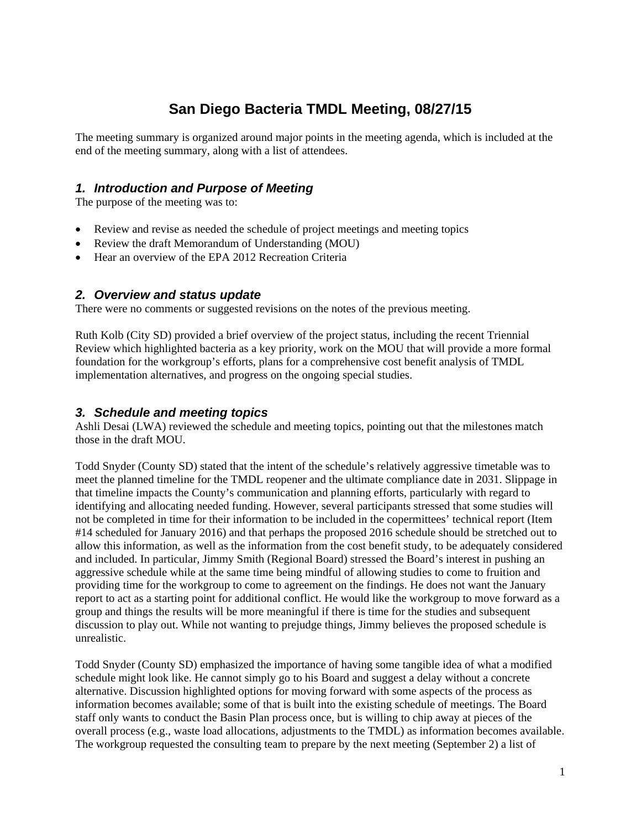# **San Diego Bacteria TMDL Meeting, 08/27/15**

The meeting summary is organized around major points in the meeting agenda, which is included at the end of the meeting summary, along with a list of attendees.

### *1. Introduction and Purpose of Meeting*

The purpose of the meeting was to:

- Review and revise as needed the schedule of project meetings and meeting topics
- Review the draft Memorandum of Understanding (MOU)
- Hear an overview of the EPA 2012 Recreation Criteria

#### *2. Overview and status update*

There were no comments or suggested revisions on the notes of the previous meeting.

Ruth Kolb (City SD) provided a brief overview of the project status, including the recent Triennial Review which highlighted bacteria as a key priority, work on the MOU that will provide a more formal foundation for the workgroup's efforts, plans for a comprehensive cost benefit analysis of TMDL implementation alternatives, and progress on the ongoing special studies.

#### *3. Schedule and meeting topics*

Ashli Desai (LWA) reviewed the schedule and meeting topics, pointing out that the milestones match those in the draft MOU.

Todd Snyder (County SD) stated that the intent of the schedule's relatively aggressive timetable was to meet the planned timeline for the TMDL reopener and the ultimate compliance date in 2031. Slippage in that timeline impacts the County's communication and planning efforts, particularly with regard to identifying and allocating needed funding. However, several participants stressed that some studies will not be completed in time for their information to be included in the copermittees' technical report (Item #14 scheduled for January 2016) and that perhaps the proposed 2016 schedule should be stretched out to allow this information, as well as the information from the cost benefit study, to be adequately considered and included. In particular, Jimmy Smith (Regional Board) stressed the Board's interest in pushing an aggressive schedule while at the same time being mindful of allowing studies to come to fruition and providing time for the workgroup to come to agreement on the findings. He does not want the January report to act as a starting point for additional conflict. He would like the workgroup to move forward as a group and things the results will be more meaningful if there is time for the studies and subsequent discussion to play out. While not wanting to prejudge things, Jimmy believes the proposed schedule is unrealistic.

Todd Snyder (County SD) emphasized the importance of having some tangible idea of what a modified schedule might look like. He cannot simply go to his Board and suggest a delay without a concrete alternative. Discussion highlighted options for moving forward with some aspects of the process as information becomes available; some of that is built into the existing schedule of meetings. The Board staff only wants to conduct the Basin Plan process once, but is willing to chip away at pieces of the overall process (e.g., waste load allocations, adjustments to the TMDL) as information becomes available. The workgroup requested the consulting team to prepare by the next meeting (September 2) a list of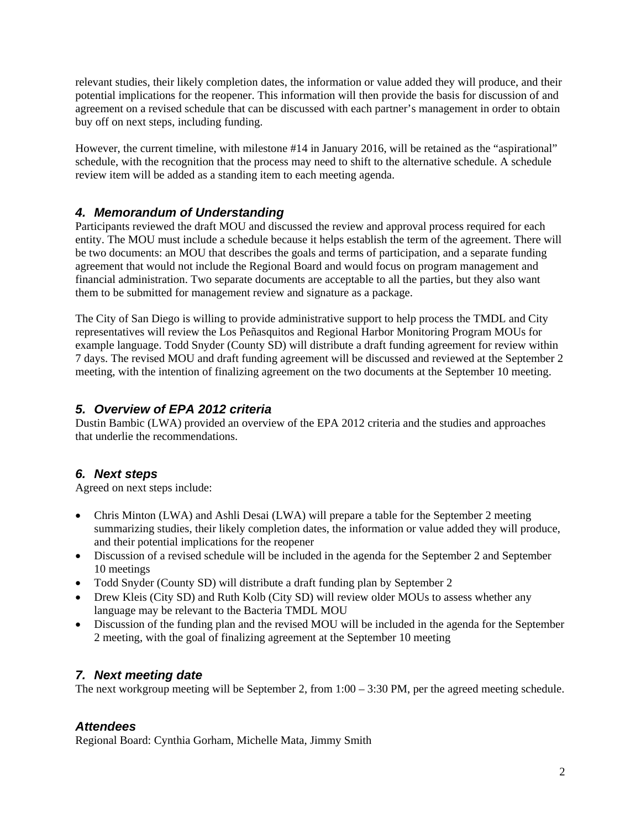relevant studies, their likely completion dates, the information or value added they will produce, and their potential implications for the reopener. This information will then provide the basis for discussion of and agreement on a revised schedule that can be discussed with each partner's management in order to obtain buy off on next steps, including funding.

However, the current timeline, with milestone #14 in January 2016, will be retained as the "aspirational" schedule, with the recognition that the process may need to shift to the alternative schedule. A schedule review item will be added as a standing item to each meeting agenda.

## *4. Memorandum of Understanding*

Participants reviewed the draft MOU and discussed the review and approval process required for each entity. The MOU must include a schedule because it helps establish the term of the agreement. There will be two documents: an MOU that describes the goals and terms of participation, and a separate funding agreement that would not include the Regional Board and would focus on program management and financial administration. Two separate documents are acceptable to all the parties, but they also want them to be submitted for management review and signature as a package.

The City of San Diego is willing to provide administrative support to help process the TMDL and City representatives will review the Los Peñasquitos and Regional Harbor Monitoring Program MOUs for example language. Todd Snyder (County SD) will distribute a draft funding agreement for review within 7 days. The revised MOU and draft funding agreement will be discussed and reviewed at the September 2 meeting, with the intention of finalizing agreement on the two documents at the September 10 meeting.

## *5. Overview of EPA 2012 criteria*

Dustin Bambic (LWA) provided an overview of the EPA 2012 criteria and the studies and approaches that underlie the recommendations.

## *6. Next steps*

Agreed on next steps include:

- Chris Minton (LWA) and Ashli Desai (LWA) will prepare a table for the September 2 meeting summarizing studies, their likely completion dates, the information or value added they will produce, and their potential implications for the reopener
- Discussion of a revised schedule will be included in the agenda for the September 2 and September 10 meetings
- Todd Snyder (County SD) will distribute a draft funding plan by September 2
- Drew Kleis (City SD) and Ruth Kolb (City SD) will review older MOUs to assess whether any language may be relevant to the Bacteria TMDL MOU
- Discussion of the funding plan and the revised MOU will be included in the agenda for the September 2 meeting, with the goal of finalizing agreement at the September 10 meeting

## *7. Next meeting date*

The next workgroup meeting will be September 2, from 1:00 – 3:30 PM, per the agreed meeting schedule.

## *Attendees*

Regional Board: Cynthia Gorham, Michelle Mata, Jimmy Smith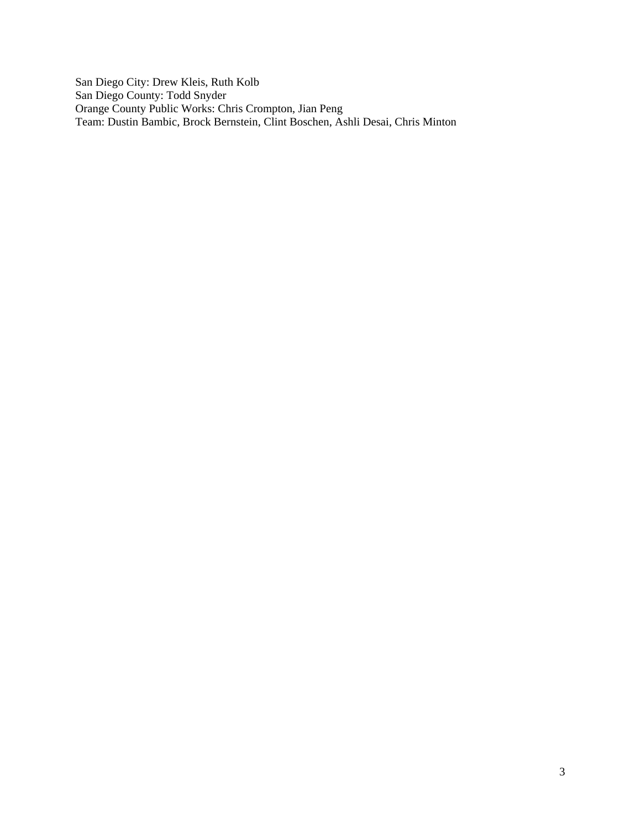San Diego City: Drew Kleis, Ruth Kolb San Diego County: Todd Snyder Orange County Public Works: Chris Crompton, Jian Peng Team: Dustin Bambic, Brock Bernstein, Clint Boschen, Ashli Desai, Chris Minton